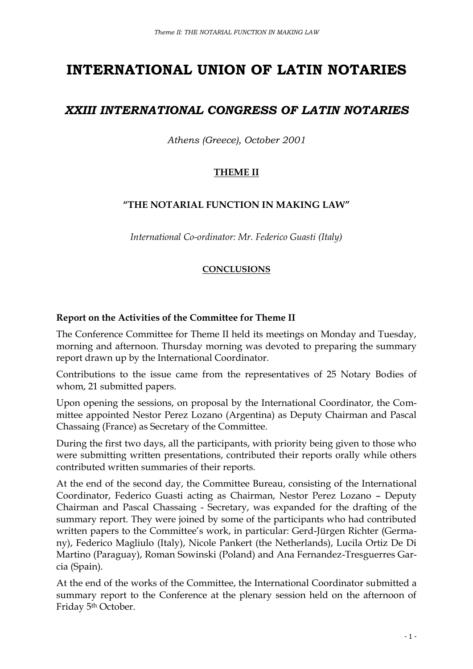# **INTERNATIONAL UNION OF LATIN NOTARIES**

# *XXIII INTERNATIONAL CONGRESS OF LATIN NOTARIES*

*Athens (Greece), October 2001*

# **THEME II**

# **"THE NOTARIAL FUNCTION IN MAKING LAW"**

*International Co-ordinator: Mr. Federico Guasti (Italy)*

# **CONCLUSIONS**

#### **Report on the Activities of the Committee for Theme II**

The Conference Committee for Theme II held its meetings on Monday and Tuesday, morning and afternoon. Thursday morning was devoted to preparing the summary report drawn up by the International Coordinator.

Contributions to the issue came from the representatives of 25 Notary Bodies of whom, 21 submitted papers.

Upon opening the sessions, on proposal by the International Coordinator, the Committee appointed Nestor Perez Lozano (Argentina) as Deputy Chairman and Pascal Chassaing (France) as Secretary of the Committee.

During the first two days, all the participants, with priority being given to those who were submitting written presentations, contributed their reports orally while others contributed written summaries of their reports.

At the end of the second day, the Committee Bureau, consisting of the International Coordinator, Federico Guasti acting as Chairman, Nestor Perez Lozano – Deputy Chairman and Pascal Chassaing - Secretary, was expanded for the drafting of the summary report. They were joined by some of the participants who had contributed written papers to the Committee's work, in particular: Gerd-Jürgen Richter (Germany), Federico Magliulo (Italy), Nicole Pankert (the Netherlands), Lucila Ortiz De Di Martino (Paraguay), Roman Sowinski (Poland) and Ana Fernandez-Tresguerres Garcia (Spain).

At the end of the works of the Committee, the International Coordinator submitted a summary report to the Conference at the plenary session held on the afternoon of Friday 5th October.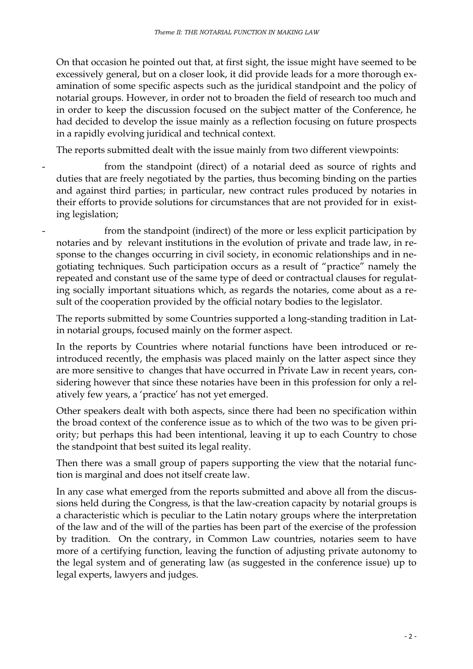On that occasion he pointed out that, at first sight, the issue might have seemed to be excessively general, but on a closer look, it did provide leads for a more thorough examination of some specific aspects such as the juridical standpoint and the policy of notarial groups. However, in order not to broaden the field of research too much and in order to keep the discussion focused on the subject matter of the Conference, he had decided to develop the issue mainly as a reflection focusing on future prospects in a rapidly evolving juridical and technical context.

The reports submitted dealt with the issue mainly from two different viewpoints:

- from the standpoint (direct) of a notarial deed as source of rights and duties that are freely negotiated by the parties, thus becoming binding on the parties and against third parties; in particular, new contract rules produced by notaries in their efforts to provide solutions for circumstances that are not provided for in existing legislation;
- from the standpoint (indirect) of the more or less explicit participation by notaries and by relevant institutions in the evolution of private and trade law, in response to the changes occurring in civil society, in economic relationships and in negotiating techniques. Such participation occurs as a result of "practice" namely the repeated and constant use of the same type of deed or contractual clauses for regulating socially important situations which, as regards the notaries, come about as a result of the cooperation provided by the official notary bodies to the legislator.

The reports submitted by some Countries supported a long-standing tradition in Latin notarial groups, focused mainly on the former aspect.

In the reports by Countries where notarial functions have been introduced or reintroduced recently, the emphasis was placed mainly on the latter aspect since they are more sensitive to changes that have occurred in Private Law in recent years, considering however that since these notaries have been in this profession for only a relatively few years, a 'practice' has not yet emerged.

Other speakers dealt with both aspects, since there had been no specification within the broad context of the conference issue as to which of the two was to be given priority; but perhaps this had been intentional, leaving it up to each Country to chose the standpoint that best suited its legal reality.

Then there was a small group of papers supporting the view that the notarial function is marginal and does not itself create law.

In any case what emerged from the reports submitted and above all from the discussions held during the Congress, is that the law-creation capacity by notarial groups is a characteristic which is peculiar to the Latin notary groups where the interpretation of the law and of the will of the parties has been part of the exercise of the profession by tradition. On the contrary, in Common Law countries, notaries seem to have more of a certifying function, leaving the function of adjusting private autonomy to the legal system and of generating law (as suggested in the conference issue) up to legal experts, lawyers and judges.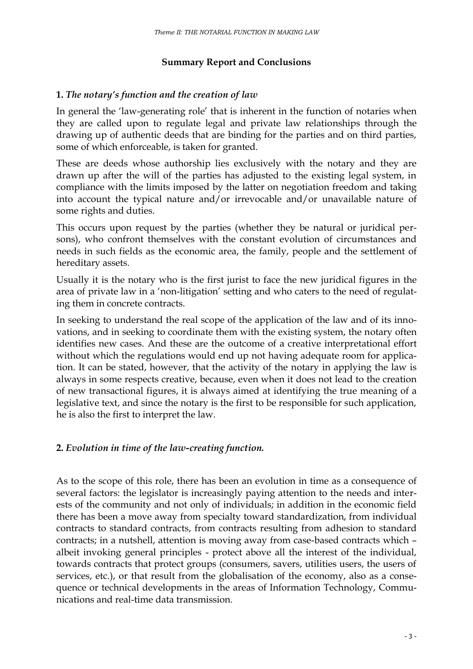#### **Summary Report and Conclusions**

#### **1.** *The notary's function and the creation of law*

In general the 'law-generating role' that is inherent in the function of notaries when they are called upon to regulate legal and private law relationships through the drawing up of authentic deeds that are binding for the parties and on third parties, some of which enforceable, is taken for granted.

These are deeds whose authorship lies exclusively with the notary and they are drawn up after the will of the parties has adjusted to the existing legal system, in compliance with the limits imposed by the latter on negotiation freedom and taking into account the typical nature and/or irrevocable and/or unavailable nature of some rights and duties.

This occurs upon request by the parties (whether they be natural or juridical persons), who confront themselves with the constant evolution of circumstances and needs in such fields as the economic area, the family, people and the settlement of hereditary assets.

Usually it is the notary who is the first jurist to face the new juridical figures in the area of private law in a 'non-litigation' setting and who caters to the need of regulating them in concrete contracts.

In seeking to understand the real scope of the application of the law and of its innovations, and in seeking to coordinate them with the existing system, the notary often identifies new cases. And these are the outcome of a creative interpretational effort without which the regulations would end up not having adequate room for application. It can be stated, however, that the activity of the notary in applying the law is always in some respects creative, because, even when it does not lead to the creation of new transactional figures, it is always aimed at identifying the true meaning of a legislative text, and since the notary is the first to be responsible for such application, he is also the first to interpret the law.

# **2.** *Evolution in time of the law-creating function.*

As to the scope of this role, there has been an evolution in time as a consequence of several factors: the legislator is increasingly paying attention to the needs and interests of the community and not only of individuals; in addition in the economic field there has been a move away from specialty toward standardization, from individual contracts to standard contracts, from contracts resulting from adhesion to standard contracts; in a nutshell, attention is moving away from case-based contracts which – albeit invoking general principles - protect above all the interest of the individual, towards contracts that protect groups (consumers, savers, utilities users, the users of services, etc.), or that result from the globalisation of the economy, also as a consequence or technical developments in the areas of Information Technology, Communications and real-time data transmission.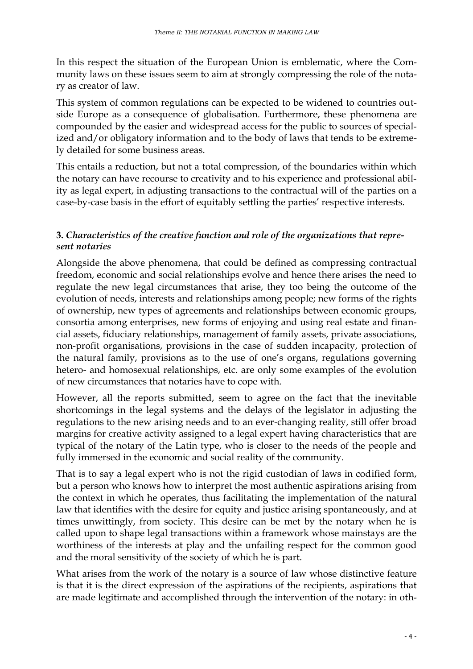In this respect the situation of the European Union is emblematic, where the Community laws on these issues seem to aim at strongly compressing the role of the notary as creator of law.

This system of common regulations can be expected to be widened to countries outside Europe as a consequence of globalisation. Furthermore, these phenomena are compounded by the easier and widespread access for the public to sources of specialized and/or obligatory information and to the body of laws that tends to be extremely detailed for some business areas.

This entails a reduction, but not a total compression, of the boundaries within which the notary can have recourse to creativity and to his experience and professional ability as legal expert, in adjusting transactions to the contractual will of the parties on a case-by-case basis in the effort of equitably settling the parties' respective interests.

# **3.** *Characteristics of the creative function and role of the organizations that represent notaries*

Alongside the above phenomena, that could be defined as compressing contractual freedom, economic and social relationships evolve and hence there arises the need to regulate the new legal circumstances that arise, they too being the outcome of the evolution of needs, interests and relationships among people; new forms of the rights of ownership, new types of agreements and relationships between economic groups, consortia among enterprises, new forms of enjoying and using real estate and financial assets, fiduciary relationships, management of family assets, private associations, non-profit organisations, provisions in the case of sudden incapacity, protection of the natural family, provisions as to the use of one's organs, regulations governing hetero- and homosexual relationships, etc. are only some examples of the evolution of new circumstances that notaries have to cope with.

However, all the reports submitted, seem to agree on the fact that the inevitable shortcomings in the legal systems and the delays of the legislator in adjusting the regulations to the new arising needs and to an ever-changing reality, still offer broad margins for creative activity assigned to a legal expert having characteristics that are typical of the notary of the Latin type, who is closer to the needs of the people and fully immersed in the economic and social reality of the community.

That is to say a legal expert who is not the rigid custodian of laws in codified form, but a person who knows how to interpret the most authentic aspirations arising from the context in which he operates, thus facilitating the implementation of the natural law that identifies with the desire for equity and justice arising spontaneously, and at times unwittingly, from society. This desire can be met by the notary when he is called upon to shape legal transactions within a framework whose mainstays are the worthiness of the interests at play and the unfailing respect for the common good and the moral sensitivity of the society of which he is part.

What arises from the work of the notary is a source of law whose distinctive feature is that it is the direct expression of the aspirations of the recipients, aspirations that are made legitimate and accomplished through the intervention of the notary: in oth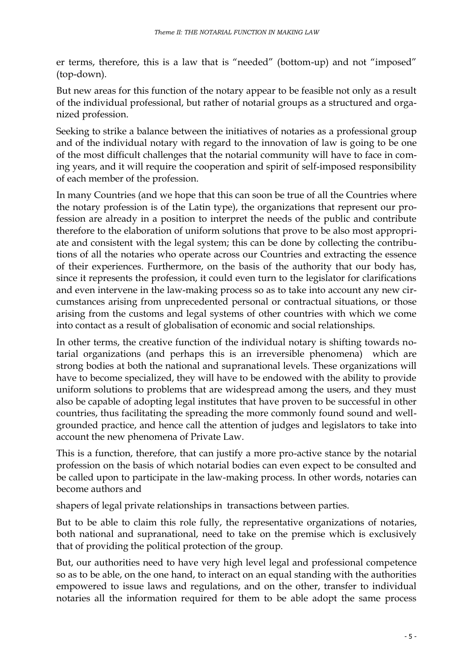er terms, therefore, this is a law that is "needed" (bottom-up) and not "imposed" (top-down).

But new areas for this function of the notary appear to be feasible not only as a result of the individual professional, but rather of notarial groups as a structured and organized profession.

Seeking to strike a balance between the initiatives of notaries as a professional group and of the individual notary with regard to the innovation of law is going to be one of the most difficult challenges that the notarial community will have to face in coming years, and it will require the cooperation and spirit of self-imposed responsibility of each member of the profession.

In many Countries (and we hope that this can soon be true of all the Countries where the notary profession is of the Latin type), the organizations that represent our profession are already in a position to interpret the needs of the public and contribute therefore to the elaboration of uniform solutions that prove to be also most appropriate and consistent with the legal system; this can be done by collecting the contributions of all the notaries who operate across our Countries and extracting the essence of their experiences. Furthermore, on the basis of the authority that our body has, since it represents the profession, it could even turn to the legislator for clarifications and even intervene in the law-making process so as to take into account any new circumstances arising from unprecedented personal or contractual situations, or those arising from the customs and legal systems of other countries with which we come into contact as a result of globalisation of economic and social relationships.

In other terms, the creative function of the individual notary is shifting towards notarial organizations (and perhaps this is an irreversible phenomena) which are strong bodies at both the national and supranational levels. These organizations will have to become specialized, they will have to be endowed with the ability to provide uniform solutions to problems that are widespread among the users, and they must also be capable of adopting legal institutes that have proven to be successful in other countries, thus facilitating the spreading the more commonly found sound and wellgrounded practice, and hence call the attention of judges and legislators to take into account the new phenomena of Private Law.

This is a function, therefore, that can justify a more pro-active stance by the notarial profession on the basis of which notarial bodies can even expect to be consulted and be called upon to participate in the law-making process. In other words, notaries can become authors and

shapers of legal private relationships in transactions between parties.

But to be able to claim this role fully, the representative organizations of notaries, both national and supranational, need to take on the premise which is exclusively that of providing the political protection of the group.

But, our authorities need to have very high level legal and professional competence so as to be able, on the one hand, to interact on an equal standing with the authorities empowered to issue laws and regulations, and on the other, transfer to individual notaries all the information required for them to be able adopt the same process